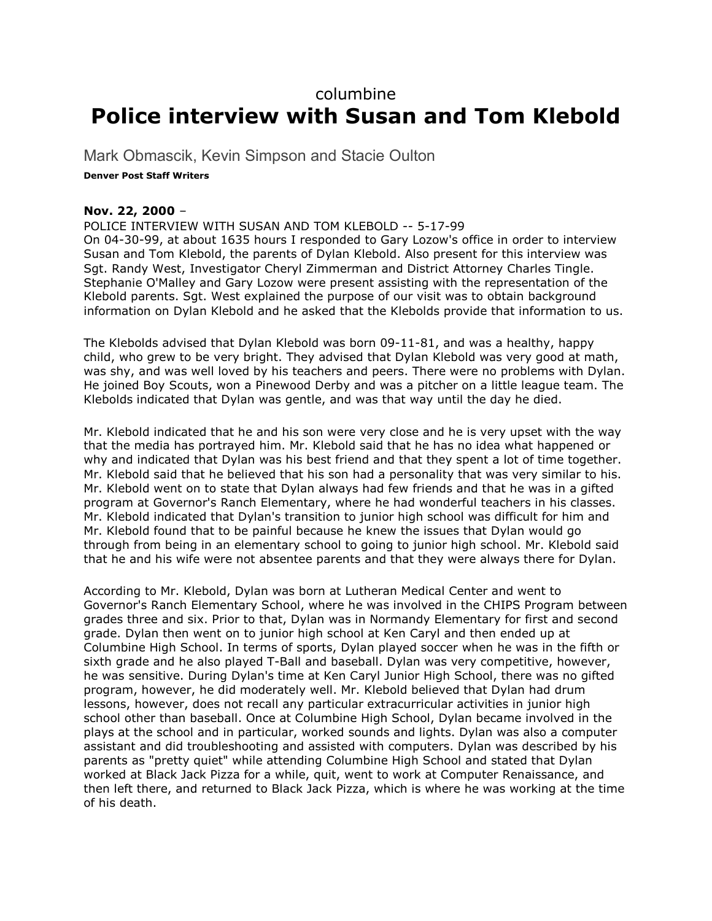## columbine **Police interview with Susan and Tom Klebold**

Mark Obmascik, Kevin Simpson and Stacie Oulton

## **Denver Post Staff Writers**

## **Nov. 22, 2000** –

POLICE INTERVIEW WITH SUSAN AND TOM KLEBOLD -- 5-17-99 On 04-30-99, at about 1635 hours I responded to Gary Lozow's office in order to interview Susan and Tom Klebold, the parents of Dylan Klebold. Also present for this interview was Sgt. Randy West, Investigator Cheryl Zimmerman and District Attorney Charles Tingle. Stephanie O'Malley and Gary Lozow were present assisting with the representation of the Klebold parents. Sgt. West explained the purpose of our visit was to obtain background information on Dylan Klebold and he asked that the Klebolds provide that information to us.

The Klebolds advised that Dylan Klebold was born 09-11-81, and was a healthy, happy child, who grew to be very bright. They advised that Dylan Klebold was very good at math, was shy, and was well loved by his teachers and peers. There were no problems with Dylan. He joined Boy Scouts, won a Pinewood Derby and was a pitcher on a little league team. The Klebolds indicated that Dylan was gentle, and was that way until the day he died.

Mr. Klebold indicated that he and his son were very close and he is very upset with the way that the media has portrayed him. Mr. Klebold said that he has no idea what happened or why and indicated that Dylan was his best friend and that they spent a lot of time together. Mr. Klebold said that he believed that his son had a personality that was very similar to his. Mr. Klebold went on to state that Dylan always had few friends and that he was in a gifted program at Governor's Ranch Elementary, where he had wonderful teachers in his classes. Mr. Klebold indicated that Dylan's transition to junior high school was difficult for him and Mr. Klebold found that to be painful because he knew the issues that Dylan would go through from being in an elementary school to going to junior high school. Mr. Klebold said that he and his wife were not absentee parents and that they were always there for Dylan.

According to Mr. Klebold, Dylan was born at Lutheran Medical Center and went to Governor's Ranch Elementary School, where he was involved in the CHIPS Program between grades three and six. Prior to that, Dylan was in Normandy Elementary for first and second grade. Dylan then went on to junior high school at Ken Caryl and then ended up at Columbine High School. In terms of sports, Dylan played soccer when he was in the fifth or sixth grade and he also played T-Ball and baseball. Dylan was very competitive, however, he was sensitive. During Dylan's time at Ken Caryl Junior High School, there was no gifted program, however, he did moderately well. Mr. Klebold believed that Dylan had drum lessons, however, does not recall any particular extracurricular activities in junior high school other than baseball. Once at Columbine High School, Dylan became involved in the plays at the school and in particular, worked sounds and lights. Dylan was also a computer assistant and did troubleshooting and assisted with computers. Dylan was described by his parents as "pretty quiet" while attending Columbine High School and stated that Dylan worked at Black Jack Pizza for a while, quit, went to work at Computer Renaissance, and then left there, and returned to Black Jack Pizza, which is where he was working at the time of his death.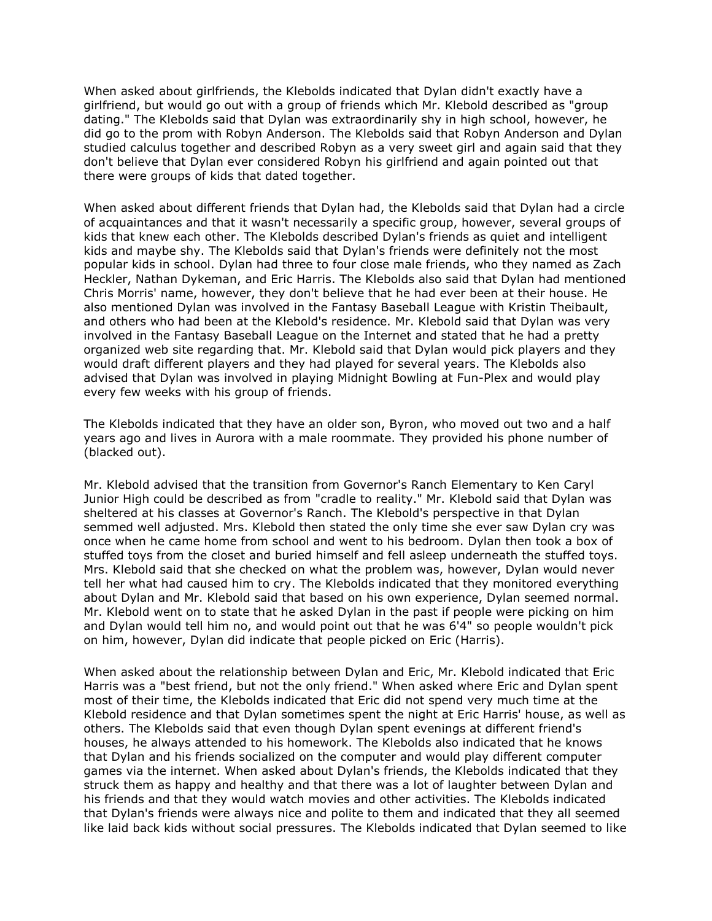When asked about girlfriends, the Klebolds indicated that Dylan didn't exactly have a girlfriend, but would go out with a group of friends which Mr. Klebold described as "group dating." The Klebolds said that Dylan was extraordinarily shy in high school, however, he did go to the prom with Robyn Anderson. The Klebolds said that Robyn Anderson and Dylan studied calculus together and described Robyn as a very sweet girl and again said that they don't believe that Dylan ever considered Robyn his girlfriend and again pointed out that there were groups of kids that dated together.

When asked about different friends that Dylan had, the Klebolds said that Dylan had a circle of acquaintances and that it wasn't necessarily a specific group, however, several groups of kids that knew each other. The Klebolds described Dylan's friends as quiet and intelligent kids and maybe shy. The Klebolds said that Dylan's friends were definitely not the most popular kids in school. Dylan had three to four close male friends, who they named as Zach Heckler, Nathan Dykeman, and Eric Harris. The Klebolds also said that Dylan had mentioned Chris Morris' name, however, they don't believe that he had ever been at their house. He also mentioned Dylan was involved in the Fantasy Baseball League with Kristin Theibault, and others who had been at the Klebold's residence. Mr. Klebold said that Dylan was very involved in the Fantasy Baseball League on the Internet and stated that he had a pretty organized web site regarding that. Mr. Klebold said that Dylan would pick players and they would draft different players and they had played for several years. The Klebolds also advised that Dylan was involved in playing Midnight Bowling at Fun-Plex and would play every few weeks with his group of friends.

The Klebolds indicated that they have an older son, Byron, who moved out two and a half years ago and lives in Aurora with a male roommate. They provided his phone number of (blacked out).

Mr. Klebold advised that the transition from Governor's Ranch Elementary to Ken Caryl Junior High could be described as from "cradle to reality." Mr. Klebold said that Dylan was sheltered at his classes at Governor's Ranch. The Klebold's perspective in that Dylan semmed well adjusted. Mrs. Klebold then stated the only time she ever saw Dylan cry was once when he came home from school and went to his bedroom. Dylan then took a box of stuffed toys from the closet and buried himself and fell asleep underneath the stuffed toys. Mrs. Klebold said that she checked on what the problem was, however, Dylan would never tell her what had caused him to cry. The Klebolds indicated that they monitored everything about Dylan and Mr. Klebold said that based on his own experience, Dylan seemed normal. Mr. Klebold went on to state that he asked Dylan in the past if people were picking on him and Dylan would tell him no, and would point out that he was 6'4" so people wouldn't pick on him, however, Dylan did indicate that people picked on Eric (Harris).

When asked about the relationship between Dylan and Eric, Mr. Klebold indicated that Eric Harris was a "best friend, but not the only friend." When asked where Eric and Dylan spent most of their time, the Klebolds indicated that Eric did not spend very much time at the Klebold residence and that Dylan sometimes spent the night at Eric Harris' house, as well as others. The Klebolds said that even though Dylan spent evenings at different friend's houses, he always attended to his homework. The Klebolds also indicated that he knows that Dylan and his friends socialized on the computer and would play different computer games via the internet. When asked about Dylan's friends, the Klebolds indicated that they struck them as happy and healthy and that there was a lot of laughter between Dylan and his friends and that they would watch movies and other activities. The Klebolds indicated that Dylan's friends were always nice and polite to them and indicated that they all seemed like laid back kids without social pressures. The Klebolds indicated that Dylan seemed to like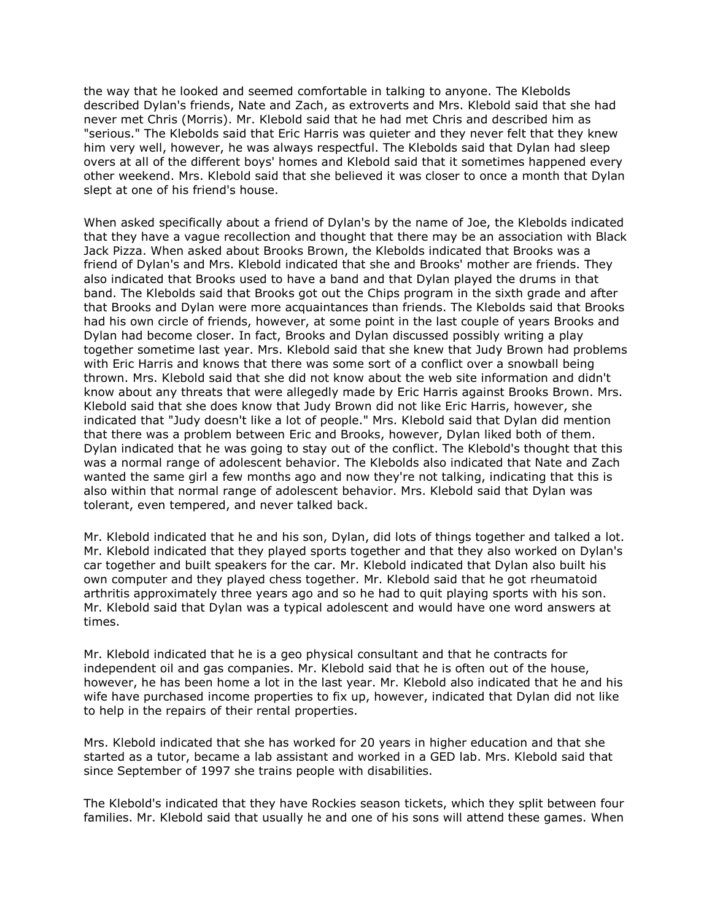the way that he looked and seemed comfortable in talking to anyone. The Klebolds described Dylan's friends, Nate and Zach, as extroverts and Mrs. Klebold said that she had never met Chris (Morris). Mr. Klebold said that he had met Chris and described him as "serious." The Klebolds said that Eric Harris was quieter and they never felt that they knew him very well, however, he was always respectful. The Klebolds said that Dylan had sleep overs at all of the different boys' homes and Klebold said that it sometimes happened every other weekend. Mrs. Klebold said that she believed it was closer to once a month that Dylan slept at one of his friend's house.

When asked specifically about a friend of Dylan's by the name of Joe, the Klebolds indicated that they have a vague recollection and thought that there may be an association with Black Jack Pizza. When asked about Brooks Brown, the Klebolds indicated that Brooks was a friend of Dylan's and Mrs. Klebold indicated that she and Brooks' mother are friends. They also indicated that Brooks used to have a band and that Dylan played the drums in that band. The Klebolds said that Brooks got out the Chips program in the sixth grade and after that Brooks and Dylan were more acquaintances than friends. The Klebolds said that Brooks had his own circle of friends, however, at some point in the last couple of years Brooks and Dylan had become closer. In fact, Brooks and Dylan discussed possibly writing a play together sometime last year. Mrs. Klebold said that she knew that Judy Brown had problems with Eric Harris and knows that there was some sort of a conflict over a snowball being thrown. Mrs. Klebold said that she did not know about the web site information and didn't know about any threats that were allegedly made by Eric Harris against Brooks Brown. Mrs. Klebold said that she does know that Judy Brown did not like Eric Harris, however, she indicated that "Judy doesn't like a lot of people." Mrs. Klebold said that Dylan did mention that there was a problem between Eric and Brooks, however, Dylan liked both of them. Dylan indicated that he was going to stay out of the conflict. The Klebold's thought that this was a normal range of adolescent behavior. The Klebolds also indicated that Nate and Zach wanted the same girl a few months ago and now they're not talking, indicating that this is also within that normal range of adolescent behavior. Mrs. Klebold said that Dylan was tolerant, even tempered, and never talked back.

Mr. Klebold indicated that he and his son, Dylan, did lots of things together and talked a lot. Mr. Klebold indicated that they played sports together and that they also worked on Dylan's car together and built speakers for the car. Mr. Klebold indicated that Dylan also built his own computer and they played chess together. Mr. Klebold said that he got rheumatoid arthritis approximately three years ago and so he had to quit playing sports with his son. Mr. Klebold said that Dylan was a typical adolescent and would have one word answers at times.

Mr. Klebold indicated that he is a geo physical consultant and that he contracts for independent oil and gas companies. Mr. Klebold said that he is often out of the house, however, he has been home a lot in the last year. Mr. Klebold also indicated that he and his wife have purchased income properties to fix up, however, indicated that Dylan did not like to help in the repairs of their rental properties.

Mrs. Klebold indicated that she has worked for 20 years in higher education and that she started as a tutor, became a lab assistant and worked in a GED lab. Mrs. Klebold said that since September of 1997 she trains people with disabilities.

The Klebold's indicated that they have Rockies season tickets, which they split between four families. Mr. Klebold said that usually he and one of his sons will attend these games. When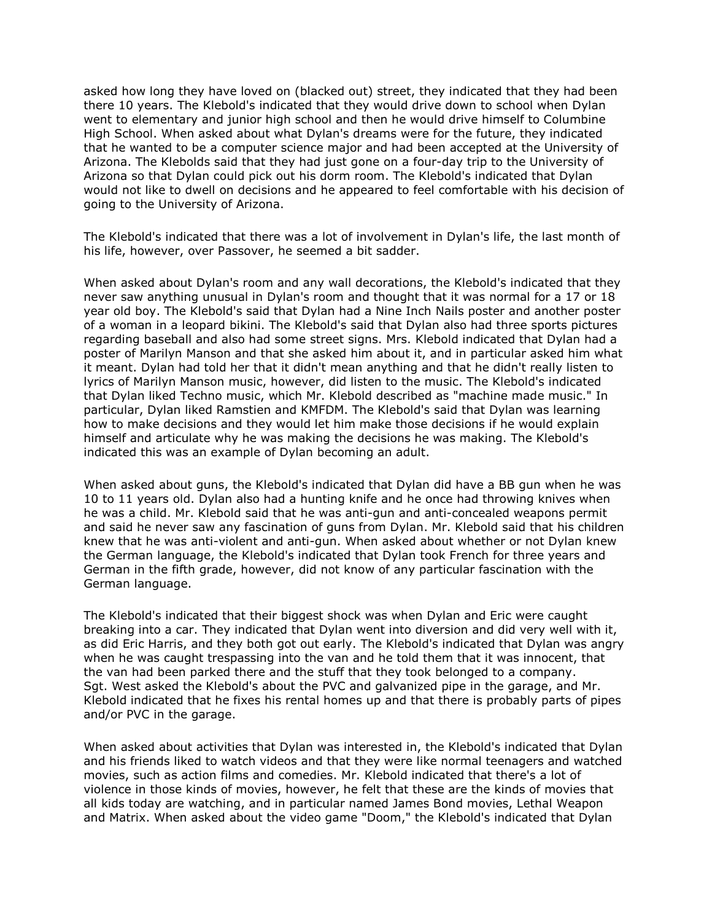asked how long they have loved on (blacked out) street, they indicated that they had been there 10 years. The Klebold's indicated that they would drive down to school when Dylan went to elementary and junior high school and then he would drive himself to Columbine High School. When asked about what Dylan's dreams were for the future, they indicated that he wanted to be a computer science major and had been accepted at the University of Arizona. The Klebolds said that they had just gone on a four-day trip to the University of Arizona so that Dylan could pick out his dorm room. The Klebold's indicated that Dylan would not like to dwell on decisions and he appeared to feel comfortable with his decision of going to the University of Arizona.

The Klebold's indicated that there was a lot of involvement in Dylan's life, the last month of his life, however, over Passover, he seemed a bit sadder.

When asked about Dylan's room and any wall decorations, the Klebold's indicated that they never saw anything unusual in Dylan's room and thought that it was normal for a 17 or 18 year old boy. The Klebold's said that Dylan had a Nine Inch Nails poster and another poster of a woman in a leopard bikini. The Klebold's said that Dylan also had three sports pictures regarding baseball and also had some street signs. Mrs. Klebold indicated that Dylan had a poster of Marilyn Manson and that she asked him about it, and in particular asked him what it meant. Dylan had told her that it didn't mean anything and that he didn't really listen to lyrics of Marilyn Manson music, however, did listen to the music. The Klebold's indicated that Dylan liked Techno music, which Mr. Klebold described as "machine made music." In particular, Dylan liked Ramstien and KMFDM. The Klebold's said that Dylan was learning how to make decisions and they would let him make those decisions if he would explain himself and articulate why he was making the decisions he was making. The Klebold's indicated this was an example of Dylan becoming an adult.

When asked about guns, the Klebold's indicated that Dylan did have a BB gun when he was 10 to 11 years old. Dylan also had a hunting knife and he once had throwing knives when he was a child. Mr. Klebold said that he was anti-gun and anti-concealed weapons permit and said he never saw any fascination of guns from Dylan. Mr. Klebold said that his children knew that he was anti-violent and anti-gun. When asked about whether or not Dylan knew the German language, the Klebold's indicated that Dylan took French for three years and German in the fifth grade, however, did not know of any particular fascination with the German language.

The Klebold's indicated that their biggest shock was when Dylan and Eric were caught breaking into a car. They indicated that Dylan went into diversion and did very well with it, as did Eric Harris, and they both got out early. The Klebold's indicated that Dylan was angry when he was caught trespassing into the van and he told them that it was innocent, that the van had been parked there and the stuff that they took belonged to a company. Sgt. West asked the Klebold's about the PVC and galvanized pipe in the garage, and Mr. Klebold indicated that he fixes his rental homes up and that there is probably parts of pipes and/or PVC in the garage.

When asked about activities that Dylan was interested in, the Klebold's indicated that Dylan and his friends liked to watch videos and that they were like normal teenagers and watched movies, such as action films and comedies. Mr. Klebold indicated that there's a lot of violence in those kinds of movies, however, he felt that these are the kinds of movies that all kids today are watching, and in particular named James Bond movies, Lethal Weapon and Matrix. When asked about the video game "Doom," the Klebold's indicated that Dylan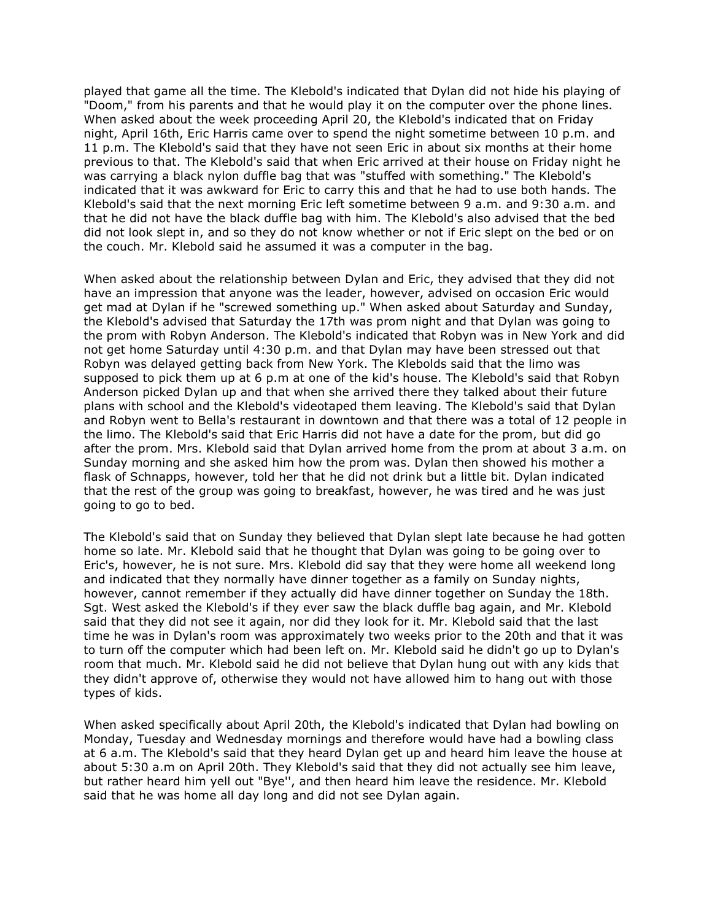played that game all the time. The Klebold's indicated that Dylan did not hide his playing of "Doom," from his parents and that he would play it on the computer over the phone lines. When asked about the week proceeding April 20, the Klebold's indicated that on Friday night, April 16th, Eric Harris came over to spend the night sometime between 10 p.m. and 11 p.m. The Klebold's said that they have not seen Eric in about six months at their home previous to that. The Klebold's said that when Eric arrived at their house on Friday night he was carrying a black nylon duffle bag that was "stuffed with something." The Klebold's indicated that it was awkward for Eric to carry this and that he had to use both hands. The Klebold's said that the next morning Eric left sometime between 9 a.m. and 9:30 a.m. and that he did not have the black duffle bag with him. The Klebold's also advised that the bed did not look slept in, and so they do not know whether or not if Eric slept on the bed or on the couch. Mr. Klebold said he assumed it was a computer in the bag.

When asked about the relationship between Dylan and Eric, they advised that they did not have an impression that anyone was the leader, however, advised on occasion Eric would get mad at Dylan if he "screwed something up." When asked about Saturday and Sunday, the Klebold's advised that Saturday the 17th was prom night and that Dylan was going to the prom with Robyn Anderson. The Klebold's indicated that Robyn was in New York and did not get home Saturday until 4:30 p.m. and that Dylan may have been stressed out that Robyn was delayed getting back from New York. The Klebolds said that the limo was supposed to pick them up at 6 p.m at one of the kid's house. The Klebold's said that Robyn Anderson picked Dylan up and that when she arrived there they talked about their future plans with school and the Klebold's videotaped them leaving. The Klebold's said that Dylan and Robyn went to Bella's restaurant in downtown and that there was a total of 12 people in the limo. The Klebold's said that Eric Harris did not have a date for the prom, but did go after the prom. Mrs. Klebold said that Dylan arrived home from the prom at about 3 a.m. on Sunday morning and she asked him how the prom was. Dylan then showed his mother a flask of Schnapps, however, told her that he did not drink but a little bit. Dylan indicated that the rest of the group was going to breakfast, however, he was tired and he was just going to go to bed.

The Klebold's said that on Sunday they believed that Dylan slept late because he had gotten home so late. Mr. Klebold said that he thought that Dylan was going to be going over to Eric's, however, he is not sure. Mrs. Klebold did say that they were home all weekend long and indicated that they normally have dinner together as a family on Sunday nights, however, cannot remember if they actually did have dinner together on Sunday the 18th. Sgt. West asked the Klebold's if they ever saw the black duffle bag again, and Mr. Klebold said that they did not see it again, nor did they look for it. Mr. Klebold said that the last time he was in Dylan's room was approximately two weeks prior to the 20th and that it was to turn off the computer which had been left on. Mr. Klebold said he didn't go up to Dylan's room that much. Mr. Klebold said he did not believe that Dylan hung out with any kids that they didn't approve of, otherwise they would not have allowed him to hang out with those types of kids.

When asked specifically about April 20th, the Klebold's indicated that Dylan had bowling on Monday, Tuesday and Wednesday mornings and therefore would have had a bowling class at 6 a.m. The Klebold's said that they heard Dylan get up and heard him leave the house at about 5:30 a.m on April 20th. They Klebold's said that they did not actually see him leave, but rather heard him yell out "Bye'', and then heard him leave the residence. Mr. Klebold said that he was home all day long and did not see Dylan again.